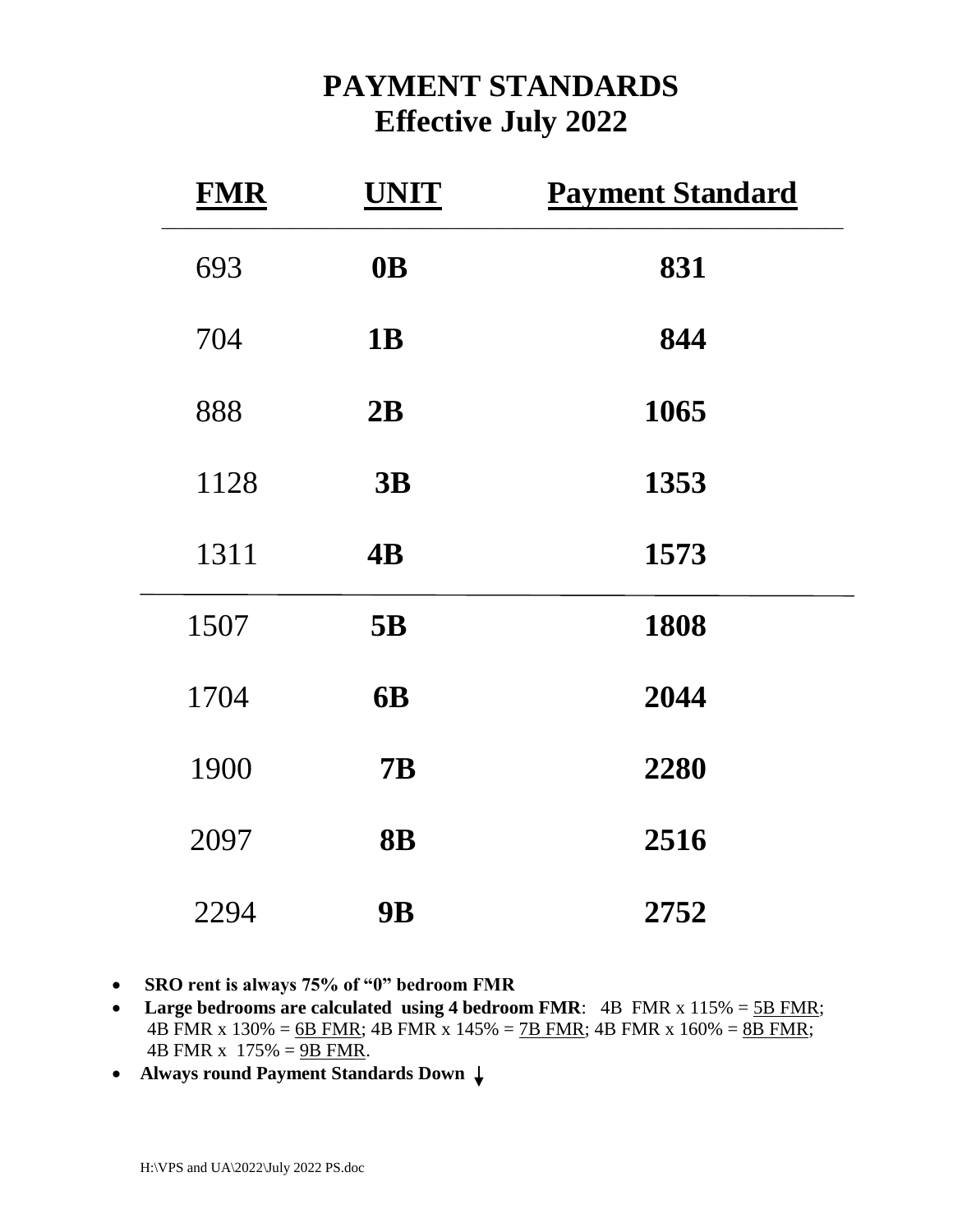## **PAYMENT STANDARDS Effective July 2022**

| <b>FMR</b> | <b>UNIT</b>     | <b>Payment Standard</b> |
|------------|-----------------|-------------------------|
| 693        | 0 <sub>B</sub>  | 831                     |
| 704        | <b>1B</b>       | 844                     |
| 888        | 2B              | 1065                    |
| 1128       | 3B              | 1353                    |
| 1311       | $\overline{AB}$ | 1573                    |
| 1507       | 5B              | 1808                    |
| 1704       | <b>6B</b>       | 2044                    |
| 1900       | <b>7B</b>       | 2280                    |
| 2097       | <b>8B</b>       | 2516                    |
| 2294       | <b>9B</b>       | 2752                    |

- **SRO rent is always 75% of "0" bedroom FMR**
- Large bedrooms are calculated using 4 bedroom FMR: 4B FMR x 115% = 5B FMR; 4B FMR x  $130\% = 6B$  FMR; 4B FMR x  $145\% = 7B$  FMR; 4B FMR x  $160\% = 8B$  FMR; 4B FMR x  $175% = 9B$  FMR.
- **Always round Payment Standards Down**